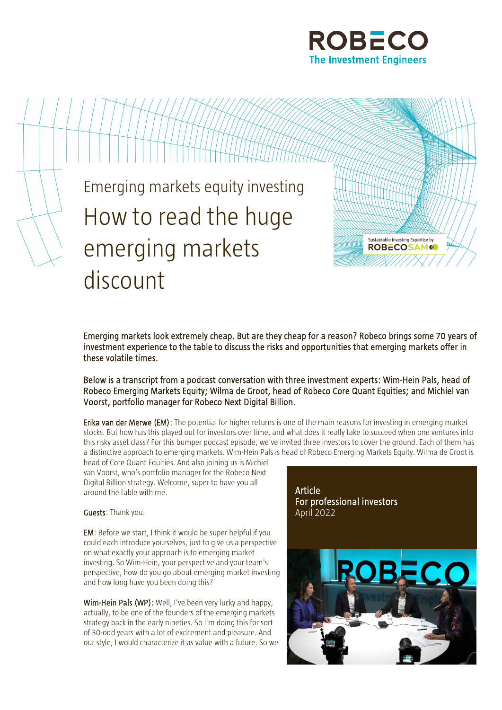



Emerging markets look extremely cheap. But are they cheap for a reason? Robeco brings some 70 years of investment experience to the table to discuss the risks and opportunities that emerging markets offer in these volatile times.

Below is a transcript from a podcast conversation with three investment experts: Wim-Hein Pals, head of Robeco Emerging Markets Equity; Wilma de Groot, head of Robeco Core Quant Equities; and Michiel van Voorst, portfolio manager for Robeco Next Digital Billion.

Erika van der Merwe (EM): The potential for higher returns is one of the main reasons for investing in emerging market stocks. But how has this played out for investors over time, and what does it really take to succeed when one ventures into this risky asset class? For this bumper podcast episode, we've invited three investors to cover the ground. Each of them has a distinctive approach to emerging markets. Wim-Hein Pals is head of Robeco Emerging Markets Equity. Wilma de Groot is

head of Core Quant Equities. And also joining us is Michiel van Voorst, who's portfolio manager for the Robeco Next Digital Billion strategy. Welcome, super to have you all around the table with me.

Guests: Thank you.

EM: Before we start, I think it would be super helpful if you could each introduce yourselves, just to give us a perspective on what exactly your approach is to emerging market investing. So Wim-Hein, your perspective and your team's perspective, how do you go about emerging market investing and how long have you been doing this?

Wim-Hein Pals (WP): Well, I've been very lucky and happy, actually, to be one of the founders of the emerging markets strategy back in the early nineties. So I'm doing this for sort of 30-odd years with a lot of excitement and pleasure. And our style, I would characterize it as value with a future. So we

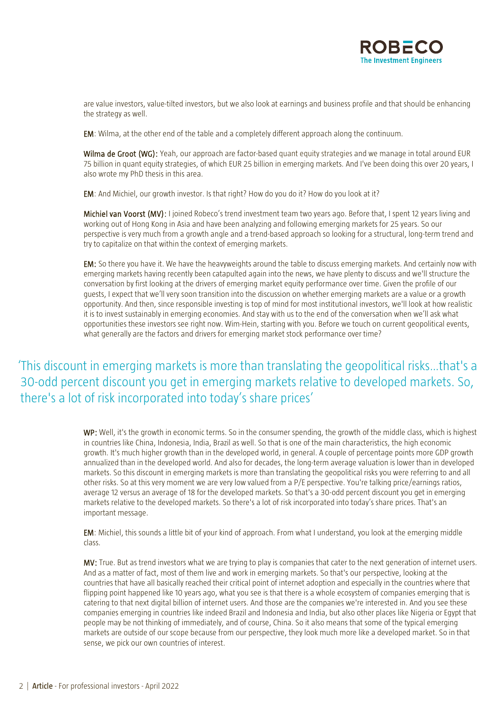

are value investors, value-tilted investors, but we also look at earnings and business profile and that should be enhancing the strategy as well.

EM: Wilma, at the other end of the table and a completely different approach along the continuum.

Wilma de Groot (WG): Yeah, our approach are factor-based [quant equity strategies](https://www.robeco.com/en/strategies/equity/active-quant-equity.html) and we manage in total around EUR 75 billion in quant equity strategies, of which EUR 25 billion in emerging markets. And I've been doing this over 20 years, I also wrote my PhD thesis in this area.

EM: And Michiel, our growth investor. Is that right? How do you do it? How do you look at it?

Michiel van Voorst (MV): I joined Robeco's trend investment team two years ago. Before that, I spent 12 years living and working out of Hong Kong in Asia and have been analyzing and following emerging markets for 25 years. So our perspective is very much from a growth angle and a trend-based approach so looking for a structural, long-term trend and try to capitalize on that within the context of emerging markets.

EM: So there you have it. We have the heavyweights around the table to discuss emerging markets. And certainly now with emerging markets having recently been catapulted again into the news, we have plenty to discuss and we'll structure the conversation by first looking at the drivers of emerging market equity performance over time. Given the profile of our guests, I expect that we'll very soon transition into the discussion on whether emerging markets are a value or a growth opportunity. And then, since responsible investing is top of mind for most institutional investors, we'll look at how realistic it is to invest sustainably in emerging economies. And stay with us to the end of the conversation when we'll ask what opportunities these investors see right now. Wim-Hein, starting with you. Before we touch on current geopolitical events, what generally are the factors and drivers for emerging market stock performance over time?

# 'This discount in emerging markets is more than translating the geopolitical risks…that's a 30-odd percent discount you get in emerging markets relative to developed markets. So, there's a lot of risk incorporated into today's share prices'

WP: Well, it's the growth in economic terms. So in the consumer spending, the growth of the middle class, which is highest in countries like China, Indonesia, India, Brazil as well. So that is one of the main characteristics, the high economic growth. It's much higher growth than in the developed world, in general. A couple of percentage points more GDP growth annualized than in the developed world. And also for decades, the long-term average valuation is lower than in developed markets. So this discount in emerging markets is more than translating the geopolitical risks you were referring to and all other risks. So at this very moment we are very low valued from a P/E perspective. You're talking price/earnings ratios, average 12 versus an average of 18 for the developed markets. So that's a 30-odd percent discount you get in emerging markets relative to the developed markets. So there's a lot of risk incorporated into today's share prices. That's an important message.

EM: Michiel, this sounds a little bit of your kind of approach. From what I understand, you look at the emerging middle class.

MV: True. But as trend investors what we are trying to play is companies that cater to the next generation of internet users. And as a matter of fact, most of them live and work in emerging markets. So that's our perspective, looking at the countries that have all basically reached their critical point of internet adoption and especially in the countries where that flipping point happened like 10 years ago, what you see is that there is a whole ecosystem of companies emerging that is catering to that next digital billion of internet users. And those are the companies we're interested in. And you see these companies emerging in countries like indeed Brazil and Indonesia and India, but also other places like Nigeria or Egypt that people may be not thinking of immediately, and of course, China. So it also means that some of the typical emerging markets are outside of our scope because from our perspective, they look much more like a developed market. So in that sense, we pick our own countries of interest.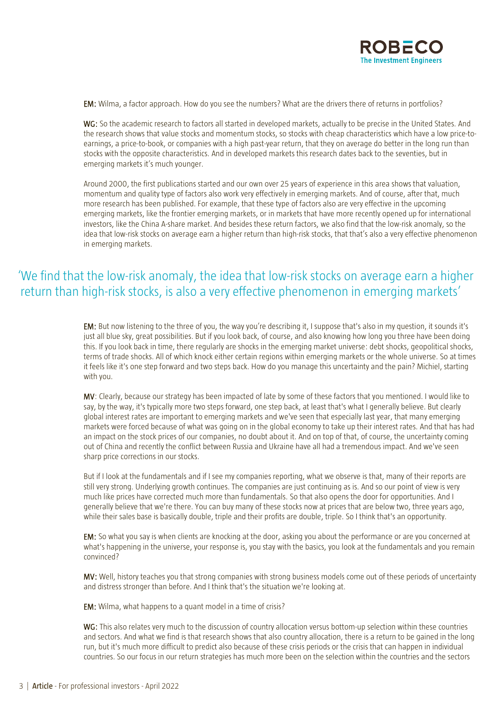

EM: Wilma, a factor approach. How do you see the numbers? What are the drivers there of returns in portfolios?

WG: So the academic research to factors all started in developed markets, actually to be precise in the United States. And the research shows that value stocks and momentum stocks, so stocks with cheap characteristics which have a low price-toearnings, a price-to-book, or companies with a high past-year return, that they on average do better in the long run than stocks with the opposite characteristics. And in developed markets this research dates back to the seventies, but in emerging markets it's much younger.

Around 2000, the first publications started and our own over 25 years of experience in this area shows that valuation, momentum and quality type of factors also work very effectively in emerging markets. And of course, after that, much more research has been published. For example, that these type of factors also are very effective in the upcoming emerging markets, like the frontier emerging markets, or in markets that have more recently opened up for international investors, like the China A-share market. And besides these return factors, we also find that the low-risk anomaly, so the idea that low-risk stocks on average earn a higher return than high-risk stocks, that that's also a very effective phenomenon in emerging markets.

# 'We find that the low-risk anomaly, the idea that low-risk stocks on average earn a higher return than high-risk stocks, is also a very effective phenomenon in emerging markets'

EM: But now listening to the three of you, the way you're describing it, I suppose that's also in my question, it sounds it's just all blue sky, great possibilities. But if you look back, of course, and also knowing how long you three have been doing this. If you look back in time, there regularly are shocks in the emerging market universe: debt shocks, geopolitical shocks, terms of trade shocks. All of which knock either certain regions within emerging markets or the whole universe. So at times it feels like it's one step forward and two steps back. How do you manage this uncertainty and the pain? Michiel, starting with you.

MV: Clearly, because our strategy has been impacted of late by some of these factors that you mentioned. I would like to say, by the way, it's typically more two steps forward, one step back, at least that's what I generally believe. But clearly global interest rates are important to emerging markets and we've seen that especially last year, that many emerging markets were forced because of what was going on in the global economy to take up their interest rates. And that has had an impact on the stock prices of our companies, no doubt about it. And on top of that, of course, the uncertainty coming out of China and recently the conflict between Russia and Ukraine have all had a tremendous impact. And we've seen sharp price corrections in our stocks.

But if I look at the fundamentals and if I see my companies reporting, what we observe is that, many of their reports are still very strong. Underlying growth continues. The companies are just continuing as is. And so our point of view is very much like prices have corrected much more than fundamentals. So that also opens the door for opportunities. And I generally believe that we're there. You can buy many of these stocks now at prices that are below two, three years ago, while their sales base is basically double, triple and their profits are double, triple. So I think that's an opportunity.

EM: So what you say is when clients are knocking at the door, asking you about the performance or are you concerned at what's happening in the universe, your response is, you stay with the basics, you look at the fundamentals and you remain convinced?

MV: Well, history teaches you that strong companies with strong business models come out of these periods of uncertainty and distress stronger than before. And I think that's the situation we're looking at.

EM: Wilma, what happens to a quant model in a time of crisis?

WG: This also relates very much to the discussion of country allocation versus bottom-up selection within these countries and sectors. And what we find is that research shows that also country allocation, there is a return to be gained in the long run, but it's much more difficult to predict also because of these crisis periods or the crisis that can happen in individual countries. So our focus in our return strategies has much more been on the selection within the countries and the sectors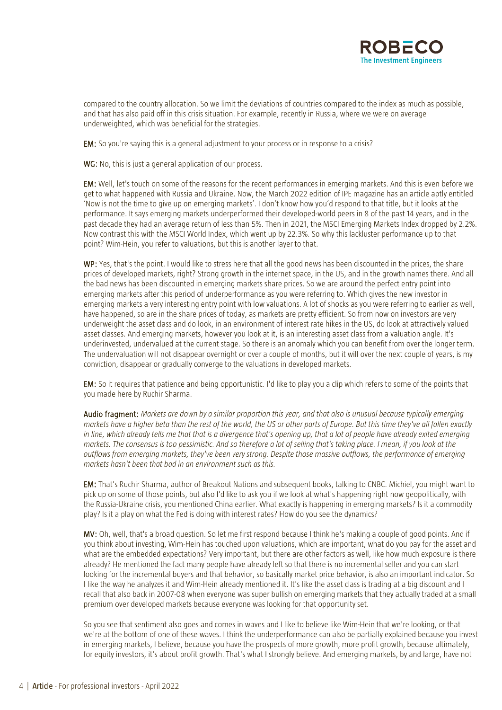

compared to the country allocation. So we limit the deviations of countries compared to the index as much as possible, and that has also paid off in this crisis situation. For example, recently in Russia, where we were on average underweighted, which was beneficial for the strategies.

EM: So you're saying this is a general adjustment to your process or in response to a crisis?

WG: No, this is just a general application of our process.

EM: Well, let's touch on some of the reasons for the recent performances in emerging markets. And this is even before we get to what happened with Russia and Ukraine. Now, the March 2022 edition of IPE magazine has an article aptly entitled 'Now is not the time to give up on emerging markets'. I don't know how you'd respond to that title, but it looks at the performance. It says emerging markets underperformed their developed-world peers in 8 of the past 14 years, and in the past decade they had an average return of less than 5%. Then in 2021, the MSCI Emerging Markets Index dropped by 2.2%. Now contrast this with the MSCI World Index, which went up by 22.3%. So why this lackluster performance up to that point? Wim-Hein, you refer to valuations, but this is another layer to that.

WP: Yes, that's the point. I would like to stress here that all the good news has been discounted in the prices, the share prices of developed markets, right? Strong growth in the internet space, in the US, and in the growth names there. And all the bad news has been discounted in emerging markets share prices. So we are around the perfect entry point into emerging markets after this period of underperformance as you were referring to. Which gives the new investor in emerging markets a very interesting entry point with low valuations. A lot of shocks as you were referring to earlier as well, have happened, so are in the share prices of today, as markets are pretty efficient. So from now on investors are very underweight the asset class and do look, in an environment of interest rate hikes in the US, do look at attractively valued asset classes. And emerging markets, however you look at it, is an interesting asset class from a valuation angle. It's underinvested, undervalued at the current stage. So there is an anomaly which you can benefit from over the longer term. The undervaluation will not disappear overnight or over a couple of months, but it will over the next couple of years, is my conviction, disappear or gradually converge to the valuations in developed markets.

EM: So it requires that patience and being opportunistic. I'd like to play you a clip which refers to some of the points that you made here by Ruchir Sharma.

Audio fragment: *Markets are down by a similar proportion this year, and that also is unusual because typically emerging markets have a higher beta than the rest of the world, the US or other parts of Europe. But this time they've all fallen exactly in line, which already tells me that that is a divergence that's opening up, that a lot of people have already exited emerging markets. The consensus is too pessimistic. And so therefore a lot of selling that's taking place. I mean, if you look at the outflows from emerging markets, they've been very strong. Despite those massive outflows, the performance of emerging markets hasn't been that bad in an environment such as this.*

EM: That's Ruchir Sharma, author of Breakout Nations and subsequent books, talking to CNBC. Michiel, you might want to pick up on some of those points, but also I'd like to ask you if we look at what's happening right now geopolitically, with the Russia-Ukraine crisis, you mentioned China earlier. What exactly is happening in emerging markets? Is it a commodity play? Is it a play on what the Fed is doing with interest rates? How do you see the dynamics?

MV: Oh, well, that's a broad question. So let me first respond because I think he's making a couple of good points. And if you think about investing, Wim-Hein has touched upon valuations, which are important, what do you pay for the asset and what are the embedded expectations? Very important, but there are other factors as well, like how much exposure is there already? He mentioned the fact many people have already left so that there is no incremental seller and you can start looking for the incremental buyers and that behavior, so basically market price behavior, is also an important indicator. So I like the way he analyzes it and Wim-Hein already mentioned it. It's like the asset class is trading at a big discount and I recall that also back in 2007-08 when everyone was super bullish on emerging markets that they actually traded at a small premium over developed markets because everyone was looking for that opportunity set.

So you see that sentiment also goes and comes in waves and I like to believe like Wim-Hein that we're looking, or that we're at the bottom of one of these waves. I think the underperformance can also be partially explained because you invest in emerging markets, I believe, because you have the prospects of more growth, more profit growth, because ultimately, for equity investors, it's about profit growth. That's what I strongly believe. And emerging markets, by and large, have not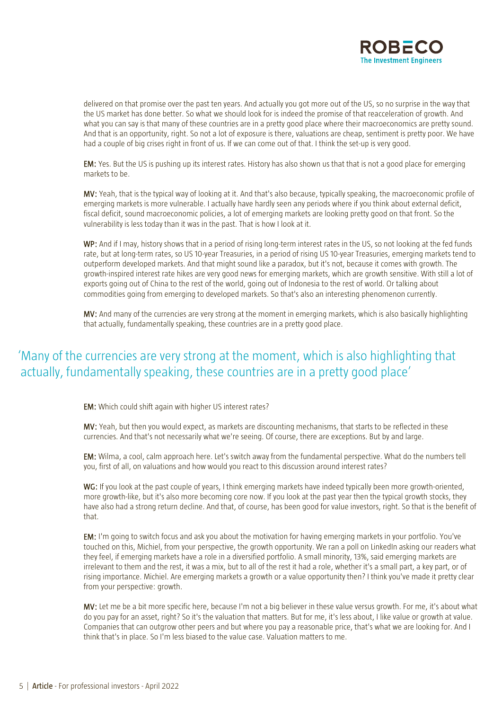

delivered on that promise over the past ten years. And actually you got more out of the US, so no surprise in the way that the US market has done better. So what we should look for is indeed the promise of that reacceleration of growth. And what you can say is that many of these countries are in a pretty good place where their macroeconomics are pretty sound. And that is an opportunity, right. So not a lot of exposure is there, valuations are cheap, sentiment is pretty poor. We have had a couple of big crises right in front of us. If we can come out of that. I think the set-up is very good.

EM: Yes. But the US is pushing up its interest rates. History has also shown us that that is not a good place for emerging markets to be.

MV: Yeah, that is the typical way of looking at it. And that's also because, typically speaking, the macroeconomic profile of emerging markets is more vulnerable. I actually have hardly seen any periods where if you think about external deficit, fiscal deficit, sound macroeconomic policies, a lot of emerging markets are looking pretty good on that front. So the vulnerability is less today than it was in the past. That is how I look at it.

WP: And if I may, history shows that in a period of rising long-term interest rates in the US, so not looking at the fed funds rate, but at long-term rates, so US 10-year Treasuries, in a period of rising US 10-year Treasuries, emerging markets tend to outperform developed markets. And that might sound like a paradox, but it's not, because it comes with growth. The growth-inspired interest rate hikes are very good news for emerging markets, which are growth sensitive. With still a lot of exports going out of China to the rest of the world, going out of Indonesia to the rest of world. Or talking about commodities going from emerging to developed markets. So that's also an interesting phenomenon currently.

MV: And many of the currencies are very strong at the moment in emerging markets, which is also basically highlighting that actually, fundamentally speaking, these countries are in a pretty good place.

# 'Many of the currencies are very strong at the moment, which is also highlighting that actually, fundamentally speaking, these countries are in a pretty good place'

EM: Which could shift again with higher US interest rates?

MV: Yeah, but then you would expect, as markets are discounting mechanisms, that starts to be reflected in these currencies. And that's not necessarily what we're seeing. Of course, there are exceptions. But by and large.

EM: Wilma, a cool, calm approach here. Let's switch away from the fundamental perspective. What do the numbers tell you, first of all, on valuations and how would you react to this discussion around interest rates?

WG: If you look at the past couple of years, I think emerging markets have indeed typically been more growth-oriented, more growth-like, but it's also more becoming core now. If you look at the past year then the typical growth stocks, they have also had a strong return decline. And that, of course, has been good for value investors, right. So that is the benefit of that.

EM: I'm going to switch focus and ask you about the motivation for having emerging markets in your portfolio. You've touched on this, Michiel, from your perspective, the growth opportunity. We ran a poll on LinkedIn asking our readers what they feel, if emerging markets have a role in a diversified portfolio. A small minority, 13%, said emerging markets are irrelevant to them and the rest, it was a mix, but to all of the rest it had a role, whether it's a small part, a key part, or of rising importance. Michiel. Are emerging markets a growth or a value opportunity then? I think you've made it pretty clear from your perspective: growth.

MV: Let me be a bit more specific here, because I'm not a big believer in these value versus growth. For me, it's about what do you pay for an asset, right? So it's the valuation that matters. But for me, it's less about, I like value or growth at value. Companies that can outgrow other peers and but where you pay a reasonable price, that's what we are looking for. And I think that's in place. So I'm less biased to the value case. Valuation matters to me.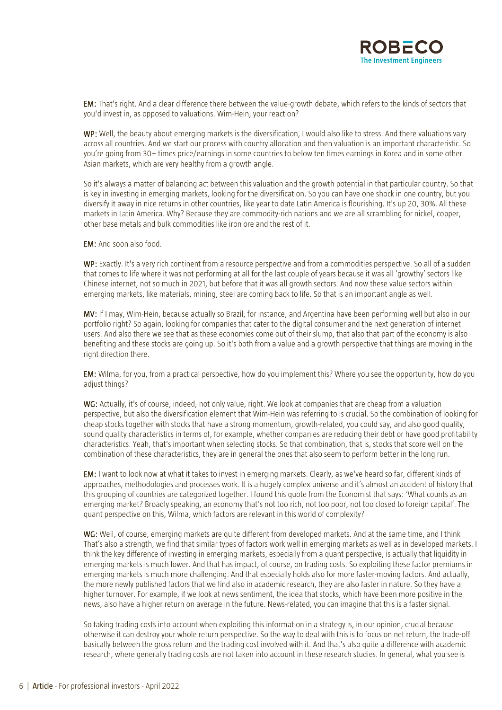

EM: That's right. And a clear difference there between the value-growth debate, which refers to the kinds of sectors that you'd invest in, as opposed to valuations. Wim-Hein, your reaction?

WP: Well, the beauty about emerging markets is the diversification, I would also like to stress. And there valuations vary across all countries. And we start our process with country allocation and then valuation is an important characteristic. So you're going from 30+ times price/earnings in some countries to below ten times earnings in Korea and in some other Asian markets, which are very healthy from a growth angle.

So it's always a matter of balancing act between this valuation and the growth potential in that particular country. So that is key in investing in emerging markets, looking for the diversification. So you can have one shock in one country, but you diversify it away in nice returns in other countries, like year to date Latin America is flourishing. It's up 20, 30%. All these markets in Latin America. Why? Because they are commodity-rich nations and we are all scrambling for nickel, copper, other base metals and bulk commodities like iron ore and the rest of it.

EM: And soon also food.

WP: Exactly. It's a very rich continent from a resource perspective and from a commodities perspective. So all of a sudden that comes to life where it was not performing at all for the last couple of years because it was all 'growthy' sectors like Chinese internet, not so much in 2021, but before that it was all growth sectors. And now these value sectors within emerging markets, like materials, mining, steel are coming back to life. So that is an important angle as well.

MV: If I may, Wim-Hein, because actually so Brazil, for instance, and Argentina have been performing well but also in our portfolio right? So again, looking for companies that cater to the digital consumer and the next generation of internet users. And also there we see that as these economies come out of their slump, that also that part of the economy is also benefiting and these stocks are going up. So it's both from a value and a growth perspective that things are moving in the right direction there.

EM: Wilma, for you, from a practical perspective, how do you implement this? Where you see the opportunity, how do you adjust things?

WG: Actually, it's of course, indeed, not only value, right. We look at companies that are cheap from a valuation perspective, but also the diversification element that Wim-Hein was referring to is crucial. So the combination of looking for cheap stocks together with stocks that have a strong momentum, growth-related, you could say, and also good quality, sound quality characteristics in terms of, for example, whether companies are reducing their debt or have good profitability characteristics. Yeah, that's important when selecting stocks. So that combination, that is, stocks that score well on the combination of these characteristics, they are in general the ones that also seem to perform better in the long run.

EM: I want to look now at what it takes to invest in emerging markets. Clearly, as we've heard so far, different kinds of approaches, methodologies and processes work. It is a hugely complex universe and it's almost an accident of history that this grouping of countries are categorized together. I found this quote from the Economist that says: 'What counts as an emerging market? Broadly speaking, an economy that's not too rich, not too poor, not too closed to foreign capital'. The quant perspective on this, Wilma, which factors are relevant in this world of complexity?

WG: Well, of course, emerging markets are quite different from developed markets. And at the same time, and I think That's also a strength, we find that similar types of factors work well in emerging markets as well as in developed markets. I think the key difference of investing in emerging markets, especially from a quant perspective, is actually that liquidity in emerging markets is much lower. And that has impact, of course, on trading costs. So exploiting these factor premiums in emerging markets is much more challenging. And that especially holds also for more faster-moving factors. And actually, the more newly published factors that we find also in academic research, they are also faster in nature. So they have a higher turnover. For example, if we look at news sentiment, the idea that stocks, which have been more positive in the news, also have a higher return on average in the future. News-related, you can imagine that this is a faster signal.

So taking trading costs into account when exploiting this information in a strategy is, in our opinion, crucial because otherwise it can destroy your whole return perspective. So the way to deal with this is to focus on net return, the trade-off basically between the gross return and the trading cost involved with it. And that's also quite a difference with academic research, where generally trading costs are not taken into account in these research studies. In general, what you see is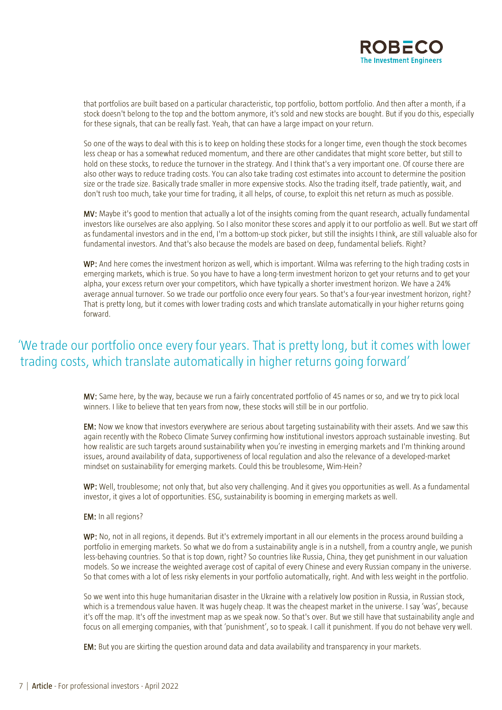

that portfolios are built based on a particular characteristic, top portfolio, bottom portfolio. And then after a month, if a stock doesn't belong to the top and the bottom anymore, it's sold and new stocks are bought. But if you do this, especially for these signals, that can be really fast. Yeah, that can have a large impact on your return.

So one of the ways to deal with this is to keep on holding these stocks for a longer time, even though the stock becomes less cheap or has a somewhat reduced momentum, and there are other candidates that might score better, but still to hold on these stocks, to reduce the turnover in the strategy. And I think that's a very important one. Of course there are also other ways to reduce trading costs. You can also take trading cost estimates into account to determine the position size or the trade size. Basically trade smaller in more expensive stocks. Also the trading itself, trade patiently, wait, and don't rush too much, take your time for trading, it all helps, of course, to exploit this net return as much as possible.

MV: Maybe it's good to mention that actually a lot of the insights coming from the quant research, actually fundamental investors like ourselves are also applying. So I also monitor these scores and apply it to our portfolio as well. But we start off as fundamental investors and in the end, I'm a bottom-up stock picker, but still the insights I think, are still valuable also for fundamental investors. And that's also because the models are based on deep, fundamental beliefs. Right?

WP: And here comes the investment horizon as well, which is important. Wilma was referring to the high trading costs in emerging markets, which is true. So you have to have a long-term investment horizon to get your returns and to get your alpha, your excess return over your competitors, which have typically a shorter investment horizon. We have a 24% average annual turnover. So we trade our portfolio once every four years. So that's a four-year investment horizon, right? That is pretty long, but it comes with lower trading costs and which translate automatically in your higher returns going forward.

# 'We trade our portfolio once every four years. That is pretty long, but it comes with lower trading costs, which translate automatically in higher returns going forward'

MV: Same here, by the way, because we run a fairly concentrated portfolio of 45 names or so, and we try to pick local winners. I like to believe that ten years from now, these stocks will still be in our portfolio.

EM: Now we know that investors everywhere are serious about targeting sustainability with their assets. And we saw this again recently with the Robeco Climate Survey confirming how institutional investors approach sustainable investing. But how realistic are such targets around sustainability when you're investing in emerging markets and I'm thinking around issues, around availability of data, supportiveness of local regulation and also the relevance of a developed-market mindset on sustainability for emerging markets. Could this be troublesome, Wim-Hein?

WP: Well, troublesome; not only that, but also very challenging. And it gives you opportunities as well. As a fundamental investor, it gives a lot of opportunities. ESG, sustainability is booming in emerging markets as well.

### EM: In all regions?

WP: No, not in all regions, it depends. But it's extremely important in all our elements in the process around building a portfolio in emerging markets. So what we do from a sustainability angle is in a nutshell, from a country angle, we punish less-behaving countries. So that is top down, right? So countries like Russia, China, they get punishment in our valuation models. So we increase the weighted average cost of capital of every Chinese and every Russian company in the universe. So that comes with a lot of less risky elements in your portfolio automatically, right. And with less weight in the portfolio.

So we went into this huge humanitarian disaster in the Ukraine with a relatively low position in Russia, in Russian stock, which is a tremendous value haven. It was hugely cheap. It was the cheapest market in the universe. I say 'was', because it's off the map. It's off the investment map as we speak now. So that's over. But we still have that sustainability angle and focus on all emerging companies, with that 'punishment', so to speak. I call it punishment. If you do not behave very well.

EM: But you are skirting the question around data and data availability and transparency in your markets.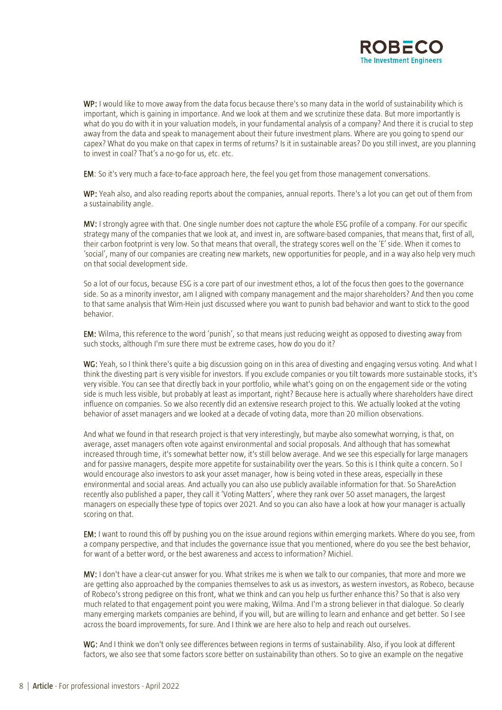

WP: I would like to move away from the data focus because there's so many data in the world of sustainability which is important, which is gaining in importance. And we look at them and we scrutinize these data. But more importantly is what do you do with it in your valuation models, in your fundamental analysis of a company? And there it is crucial to step away from the data and speak to management about their future investment plans. Where are you going to spend our capex? What do you make on that capex in terms of returns? Is it in sustainable areas? Do you still invest, are you planning to invest in coal? That's a no-go for us, etc. etc.

EM: So it's very much a face-to-face approach here, the feel you get from those management conversations.

WP: Yeah also, and also reading reports about the companies, annual reports. There's a lot you can get out of them from a sustainability angle.

MV: I strongly agree with that. One single number does not capture the whole ESG profile of a company. For our specific strategy many of the companies that we look at, and invest in, are software-based companies, that means that, first of all, their carbon footprint is very low. So that means that overall, the strategy scores well on the 'E' side. When it comes to 'social', many of our companies are creating new markets, new opportunities for people, and in a way also help very much on that social development side.

So a lot of our focus, because ESG is a core part of our investment ethos, a lot of the focus then goes to the governance side. So as a minority investor, am I aligned with company management and the major shareholders? And then you come to that same analysis that Wim-Hein just discussed where you want to punish bad behavior and want to stick to the good behavior.

EM: Wilma, this reference to the word 'punish', so that means just reducing weight as opposed to divesting away from such stocks, although I'm sure there must be extreme cases, how do you do it?

WG: Yeah, so I think there's quite a big discussion going on in this area of divesting and engaging versus voting. And what I think the divesting part is very visible for investors. If you exclude companies or you tilt towards more sustainable stocks, it's very visible. You can see that directly back in your portfolio, while what's going on on the engagement side or the voting side is much less visible, but probably at least as important, right? Because here is actually where shareholders have direct influence on companies. So we also recently did an extensive research project to this. We actually looked at the voting behavior of asset managers and we looked at a decade of voting data, more than 20 million observations.

And what we found in that research project is that very interestingly, but maybe also somewhat worrying, is that, on average, asset managers often vote against environmental and social proposals. And although that has somewhat increased through time, it's somewhat better now, it's still below average. And we see this especially for large managers and for passive managers, despite more appetite for sustainability over the years. So this is I think quite a concern. So I would encourage also investors to ask your asset manager, how is being voted in these areas, especially in these environmental and social areas. And actually you can also use publicly available information for that. So ShareAction recently also published a paper, they call it 'Voting Matters', where they rank over 50 asset managers, the largest managers on especially these type of topics over 2021. And so you can also have a look at how your manager is actually scoring on that.

EM: I want to round this off by pushing you on the issue around regions within emerging markets. Where do you see, from a company perspective, and that includes the governance issue that you mentioned, where do you see the best behavior, for want of a better word, or the best awareness and access to information? Michiel.

MV: I don't have a clear-cut answer for you. What strikes me is when we talk to our companies, that more and more we are getting also approached by the companies themselves to ask us as investors, as western investors, as Robeco, because of Robeco's strong pedigree on this front, what we think and can you help us further enhance this? So that is also very much related to that engagement point you were making, Wilma. And I'm a strong believer in that dialogue. So clearly many emerging markets companies are behind, if you will, but are willing to learn and enhance and get better. So I see across the board improvements, for sure. And I think we are here also to help and reach out ourselves.

WG: And I think we don't only see differences between regions in terms of sustainability. Also, if you look at different factors, we also see that some factors score better on sustainability than others. So to give an example on the negative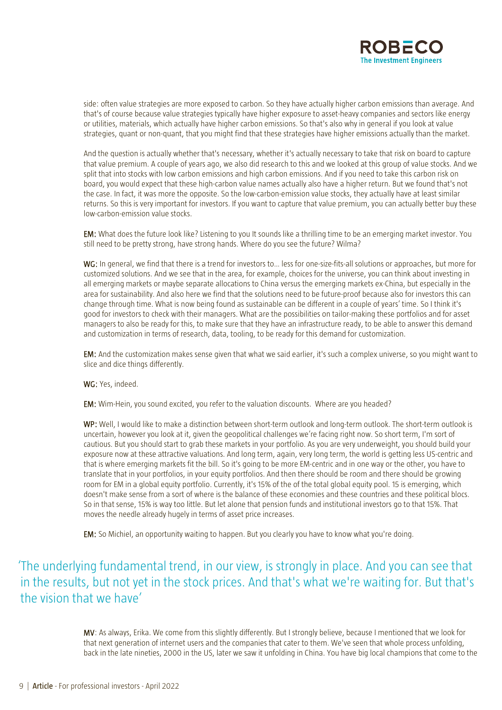

side: often value strategies are more exposed to carbon. So they have actually higher carbon emissions than average. And that's of course because value strategies typically have higher exposure to asset-heavy companies and sectors like energy or utilities, materials, which actually have higher carbon emissions. So that's also why in general if you look at value strategies, quant or non-quant, that you might find that these strategies have higher emissions actually than the market.

And the question is actually whether that's necessary, whether it's actually necessary to take that risk on board to capture that value premium. A couple of years ago, we also did research to this and we looked at this group of value stocks. And we split that into stocks with low carbon emissions and high carbon emissions. And if you need to take this carbon risk on board, you would expect that these high-carbon value names actually also have a higher return. But we found that's not the case. In fact, it was more the opposite. So the low-carbon-emission value stocks, they actually have at least similar returns. So this is very important for investors. If you want to capture that value premium, you can actually better buy these low-carbon-emission value stocks.

EM: What does the future look like? Listening to you It sounds like a thrilling time to be an emerging market investor. You still need to be pretty strong, have strong hands. Where do you see the future? Wilma?

WG: In general, we find that there is a trend for investors to... less for one-size-fits-all solutions or approaches, but more for customized solutions. And we see that in the area, for example, choices for the universe, you can think about investing in all emerging markets or maybe separate allocations to China versus the emerging markets ex-China, but especially in the area for sustainability. And also here we find that the solutions need to be future-proof because also for investors this can change through time. What is now being found as sustainable can be different in a couple of years' time. So I think it's good for investors to check with their managers. What are the possibilities on tailor-making these portfolios and for asset managers to also be ready for this, to make sure that they have an infrastructure ready, to be able to answer this demand and customization in terms of research, data, tooling, to be ready for this demand for customization.

EM: And the customization makes sense given that what we said earlier, it's such a complex universe, so you might want to slice and dice things differently.

WG: Yes, indeed.

EM: Wim-Hein, you sound excited, you refer to the valuation discounts. Where are you headed?

WP: Well, I would like to make a distinction between short-term outlook and long-term outlook. The short-term outlook is uncertain, however you look at it, given the geopolitical challenges we're facing right now. So short term, I'm sort of cautious. But you should start to grab these markets in your portfolio. As you are very underweight, you should build your exposure now at these attractive valuations. And long term, again, very long term, the world is getting less US-centric and that is where emerging markets fit the bill. So it's going to be more EM-centric and in one way or the other, you have to translate that in your portfolios, in your equity portfolios. And then there should be room and there should be growing room for EM in a global equity portfolio. Currently, it's 15% of the of the total global equity pool. 15 is emerging, which doesn't make sense from a sort of where is the balance of these economies and these countries and these political blocs. So in that sense, 15% is way too little. But let alone that pension funds and institutional investors go to that 15%. That moves the needle already hugely in terms of asset price increases.

EM: So Michiel, an opportunity waiting to happen. But you clearly you have to know what you're doing.

# 'The underlying fundamental trend, in our view, is strongly in place. And you can see that in the results, but not yet in the stock prices. And that's what we're waiting for. But that's the vision that we have'

MV: As always, Erika. We come from this slightly differently. But I strongly believe, because I mentioned that we look for that next generation of internet users and the companies that cater to them. We've seen that whole process unfolding, back in the late nineties, 2000 in the US, later we saw it unfolding in China. You have big local champions that come to the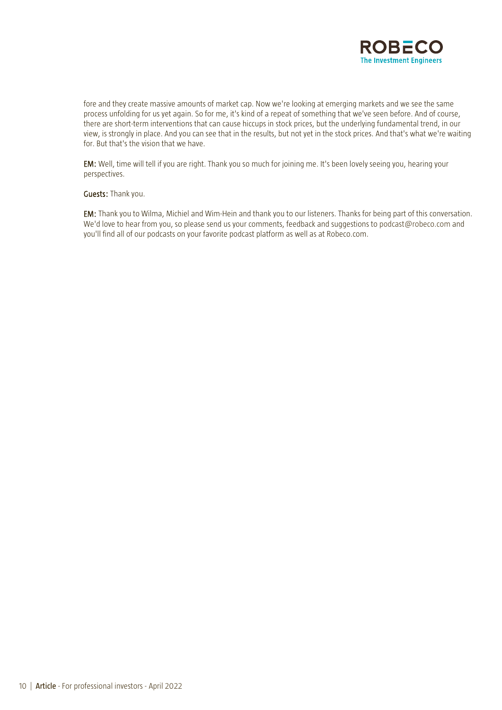

fore and they create massive amounts of market cap. Now we're looking at emerging markets and we see the same process unfolding for us yet again. So for me, it's kind of a repeat of something that we've seen before. And of course, there are short-term interventions that can cause hiccups in stock prices, but the underlying fundamental trend, in our view, is strongly in place. And you can see that in the results, but not yet in the stock prices. And that's what we're waiting for. But that's the vision that we have.

EM: Well, time will tell if you are right. Thank you so much for joining me. It's been lovely seeing you, hearing your perspectives.

### Guests: Thank you.

EM: Thank you to Wilma, Michiel and Wim-Hein and thank you to our listeners. Thanks for being part of this conversation. We'd love to hear from you, so please send us your comments, feedback and suggestions to [podcast@robeco.com](mailto:podcast@robeco.com) and you'll find all of our podcasts on your favorite podcast platform as well as at Robeco.com.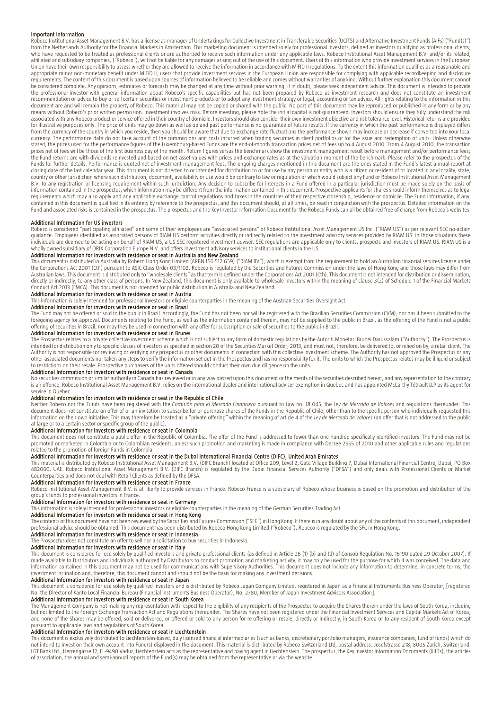#### Important Information

Robeco Institutional Asset Management B.V. has a license as manager of Undertakings for Collective Investment in Transferable Securities (UCITS) and Alternative Investment Funds (AIFs) ("Fund(s)") from the Netherlands Authority for the Financial Markets in Amsterdam. This marketing document is intended solely for professional investors, defined as investors qualifying as professional clients, who have requested to be treated as professional clients or are authorized to receive such information under any applicable laws. Robeco Institutional Asset Management B.V. and/or its related, affiliated and subsidiary companies, ("Robeco"), will not be liable for any damages arising out of the use of this document. Users of this information who provide investment services in the European<br>Union have their own re appropriate minor non-monetary benefit under MiFID II, users that provide investment services in the European Union are responsible for complying with applicable recordkeeping and disclosure requirements. The content of this document is based upon sources of information believed to be reliable and comes without warranties of any kind. Without further explanation this document cannot be considered complete. Any opinions, estimates or forecasts may be changed at any time without prior warning. If in doubt, please seek independent advice. This document is intended to provide<br>the professional investor wit recommendation or advice to buy or sell certain securities or investment products or to adopt any investment strategy or legal, accounting or tax advice. All rights relating to the information in this document are and will remain the property of Robeco. This material may not be copied or shared with the public. No part of this document may be reproduced or published in any form or by any means without Robeco's prior written permission. Investment involves risks. Before investing, please note the initial capital is not guaranteed. Investors should ensure they fully understand the risk<br>associated with any Ro for illustrative purposes only. The price of units may go down as well as up and past performance is no guarantee of future results. If the currency in which the past performance is displayed differs from the currency of the country in which you reside, then you should be aware that due to exchange rate fluctuations the performance shown may increase or decrease if converted into your local currency. The performance data do not take account of the commissions and costs incurred when trading securities in client portfolios or for the issue and redemption of units. Unless otherwise<br>stated, the prices used for t prices net of fees will be those of the first business day of the month. Return figures versus the benchmark show the investment management result before management and/or performance fees; the Fund returns are with dividends reinvested and based on net asset values with prices and exchange rates as at the valuation moment of the benchmark. Please refer to the prospectus of the Funds for further details. Performance is quoted net of investment management fees. The ongoing charges mentioned in this document are the ones stated in the Fund's latest annual report at<br>closing date of the last calendar country or other jurisdiction where such distribution, document, availability or use would be contrary to law or regulation or which would subject any Fund or Robeco Institutional Asset Management B.V. to any registration or licensing requirement within such jurisdiction. Any decision to subscribe for interests in a Fund offered in a particular jurisdiction must be made solely on the basis of<br>information contained i requirements which may also apply and any applicable exchange control regulations and taxes in the countries of their respective citizenship, residence or domicile. The Fund information, if any, contained in this document is qualified in its entirety by reference to the prospectus, and this document should, at all times, be read in conjunction with the prospectus. Detailed information on the Fund and associated risks is contained in the prospectus. The prospectus and the Key Investor Information Document for the Robeco Funds can all be obtained free of charge from Robeco's websites.

#### Additional Information for US investors

Robeco is considered "participating affiliated" and some of their employees are "associated persons" of Robeco Institutional Asset Management US Inc. ("RIAM US") as per relevant SEC no-action guidance. Employees identified as associated persons of RIAM US perform activities directly or indirectly related to the investment advisory services provided by RIAM US. In those situations these<br>individuals are deemed to wholly owned subsidiary of ORIX Corporation Europe N.V. and offers investment advisory services to institutional clients in the US.

**Additional Information for investors with residence or seat in Australia and New Zealand**<br>This document is distributed in Australia by Robeco Hong Kong Limited (ARBN 156 512 659) ("RIAM BV"), which is exempt from the requ Australian laws. This document is distributed only to "wholesale clients" as that term is defined under the Corporations Act 2001 (Cth). This document is not intended for distribution or dissemination, directly or indirectly, to any other class of persons. In New Zealand, this document is only available to wholesale investors within the meaning of clause 3(2) of Schedule 1 of the Financial Markets Conduct Act 2013 (FMCA). This document is not intended for public distribution in Australia and New Zealand.

### Additional Information for investors with residence or seat in Austria

This information is solely intended for professional investors or eligible counterparties in the meaning of the Austrian Securities Oversight Act.

### Additional Information for investors with residence or seat in Brazil

The Fund may not be offered or sold to the public in Brazil. Accordingly, the Fund has not been nor will be registered with the Brazilian Securities Commission (CVM), nor has it been submitted to the<br>foregoing agency for a offering of securities in Brazil, nor may they be used in connection with any offer for subscription or sale of securities to the public in Brazil.

### Additional Information for investors with residence or seat in Brunei

The Prospectus relates to a private collective investment scheme which is not subject to any form of domestic regulations by the Autoriti Monetari Brunei Darussalam ("Authority"). The Prospectus is<br>intended for distributio Authority is not responsible for reviewing or verifying any prospectus or other documents in connection with this collective investment scheme. The Authority has not approved the Prospectus or any other associated documents nor taken any steps to verify the information set out in the Prospectus and has no responsibility for it. The units to which the Prospectus relates may be illiquid or subject<br>to restrictions on t

### Additional Information for investors with residence or seat in Canada

No securities commission or similar authority in Canada has reviewed or in any way passed upon this document or the merits of the securities described herein, and any representation to the contrary is an offence. Robeco Institutional Asset Management B.V. relies on the international dealer and international adviser exemption in Quebec and has appointed McCarthy Tétrault LLP as its agent for service in Quebec.

### Additional information for investors with residence or seat in the Republic of Chile

Neither Robeco nor the Funds have been registered with the *Comisión para el Mercado Financiero* pursuant to Law no. 18.045, the *Ley de Mercado de Valores* and regulations thereunder. This document does not constitute an offer of or an invitation to subscribe for or purchase shares of the Funds in the Republic of Chile, other than to the specific person who individually requested this information on their own initiative. This may therefore be treated as a "private offering" within the meaning of article 4 of the *Ley de Mercado de Valores* (an offer that is not addressed to the public at large or to a certain sector or specific group of the public).

### Additional Information for investors with residence or seat in Colombia

This document does not constitute a public offer in the Republic of Colombia. The offer of the Fund is addressed to fewer than one hundred specifically identified investors. The Fund may not be promoted or marketed in Colombia or to Colombian residents, unless such promotion and marketing is made in compliance with Decree 2555 of 2010 and other applicable rules and regulations related to the promotion of foreign Funds in Colombia.

### Additional Information for investors with residence or seat in the Dubai International Financial Centre (DIFC), United Arab Emirates

This material is distributed by Robeco Institutional Asset Management B.V. (DIFC Branch) located at Office 209, Level 2, Gate Village Building 7, Dubai International Financial Centre, Dubai, PO Box<br>482060, UAE. Robeco Inst Counterparties and does not deal with Retail Clients as defined by the DFSA.

### Additional Information for investors with residence or seat in France

Robeco Institutional Asset Management B.V. is at liberty to provide services in France. Robeco France is a subsidiary of Robeco whose business is based on the promotion and distribution of the<br>group's funds to professional

### Additional Information for investors with residence or seat in Germany

This information is solely intended for professional investors or eligible counterparties in the meaning of the German Securities Trading Act.

## Additional Information for investors with residence or seat in Hong Kong

The contents of this document have not been reviewed by the Securities and Futures Commission ("SFC") in Hong Kong. If there is in any doubt about any of the contents of this document, independent professional advice should be obtained. This document has been distributed by Robeco Hong Kong Limited ("Robeco"). Robeco is regulated by the SFC in Hong Kong.

## Additional Information for investors with residence or seat in Indonesia

The Prospectus does not constitute an offer to sell nor a solicitation to buy securities in Indonesia.<br>**Additional Information for investors with residence or seat in Italy** 

This document is considered for use solely by qualified investors and private professional clients (as defined in Article 26 (1) (b) and (d) of Consob Regulation No. 16190 dated 29 October 2007). If made available to Distributors and individuals authorized by Distributors to conduct promotion and marketing activity, it may only be used for the purpose for which it was conceived. The data and information contained in this document may not be used for communications with Supervisory Authorities. This document does not include any information to determine, in concrete terms, the<br>investment inclination and, theref

### Additional Information for investors with residence or seat in Japan

This document is considered for use solely by qualified investors and is distributed by Robeco Japan Company Limited, registered in Japan as a Financial Instruments Business Operator, [registered<br>No. the Director of Kanto

### Additional Information for investors with residence or seat in South Korea

The Management Company is not making any representation with respect to the eligibility of any recipients of the Prospectus to acquire the Shares therein under the laws of South Korea, including but not limited to the Foreign Exchange Transaction Act and Regulations thereunder. The Shares have not been registered under the Financial Investment Services and Capital Markets Act of Korea, and none of the Shares may be offered, sold or delivered, or offered or sold to any person for re-offering or resale, directly or indirectly, in South Korea or to any resident of South Korea except<br>pursuant to applicable l

### Additional Information for investors with residence or seat in Liechtenstein

This document is exclusively distributed to Liechtenstein-based, duly licensed financial intermediaries (such as banks, discretionary portfolio managers, insurance companies, fund of funds) which do<br>not intend to invest on of association, the annual and semi-annual reports of the Fund(s) may be obtained from the representative or via the website.